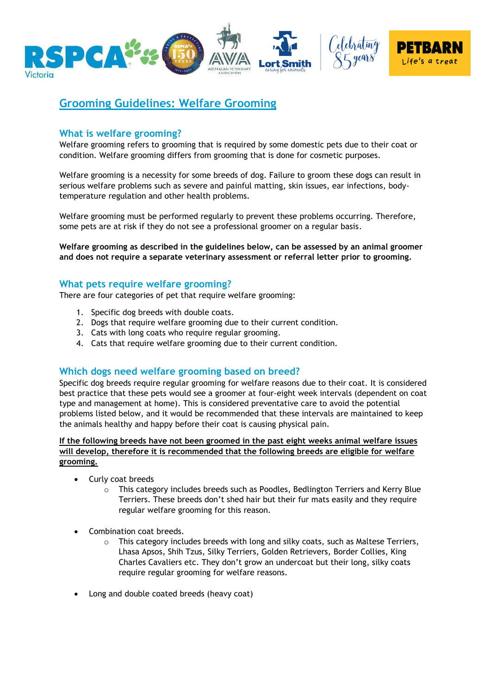

# **Grooming Guidelines: Welfare Grooming**

## **What is welfare grooming?**

Welfare grooming refers to grooming that is required by some domestic pets due to their coat or condition. Welfare grooming differs from grooming that is done for cosmetic purposes.

Welfare grooming is a necessity for some breeds of dog. Failure to groom these dogs can result in serious welfare problems such as severe and painful matting, skin issues, ear infections, bodytemperature regulation and other health problems.

Welfare grooming must be performed regularly to prevent these problems occurring. Therefore, some pets are at risk if they do not see a professional groomer on a regular basis.

**Welfare grooming as described in the guidelines below, can be assessed by an animal groomer and does not require a separate veterinary assessment or referral letter prior to grooming.**

#### **What pets require welfare grooming?**

There are four categories of pet that require welfare grooming:

- 1. Specific dog breeds with double coats.
- 2. Dogs that require welfare grooming due to their current condition.
- 3. Cats with long coats who require regular grooming.
- 4. Cats that require welfare grooming due to their current condition.

#### **Which dogs need welfare grooming based on breed?**

Specific dog breeds require regular grooming for welfare reasons due to their coat. It is considered best practice that these pets would see a groomer at four-eight week intervals (dependent on coat type and management at home). This is considered preventative care to avoid the potential problems listed below, and it would be recommended that these intervals are maintained to keep the animals healthy and happy before their coat is causing physical pain.

**If the following breeds have not been groomed in the past eight weeks animal welfare issues will develop, therefore it is recommended that the following breeds are eligible for welfare grooming.** 

- Curly coat breeds
	- o This category includes breeds such as Poodles, Bedlington Terriers and Kerry Blue Terriers. These breeds don't shed hair but their fur mats easily and they require regular welfare grooming for this reason.
- Combination coat breeds.
	- o This category includes breeds with long and silky coats, such as Maltese Terriers, Lhasa Apsos, Shih Tzus, Silky Terriers, Golden Retrievers, Border Collies, King Charles Cavaliers etc. They don't grow an undercoat but their long, silky coats require regular grooming for welfare reasons.
- Long and double coated breeds (heavy coat)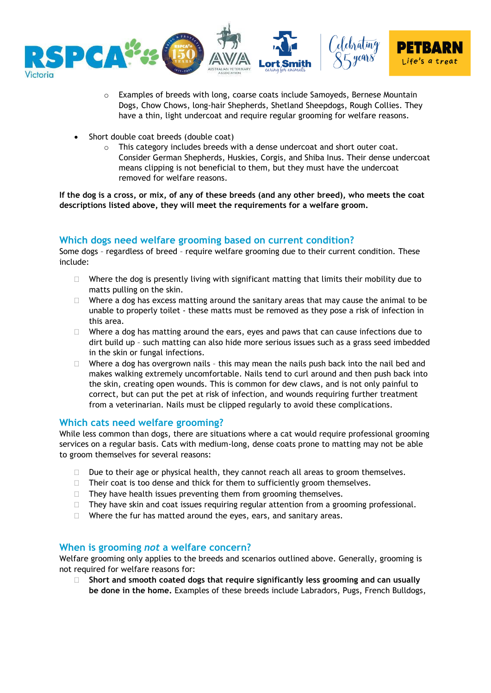

- o Examples of breeds with long, coarse coats include Samoyeds, Bernese Mountain Dogs, Chow Chows, long-hair Shepherds, Shetland Sheepdogs, Rough Collies. They have a thin, light undercoat and require regular grooming for welfare reasons.
- Short double coat breeds (double coat)
	- o This category includes breeds with a dense undercoat and short outer coat. Consider German Shepherds, Huskies, Corgis, and Shiba Inus. Their dense undercoat means clipping is not beneficial to them, but they must have the undercoat removed for welfare reasons.

**If the dog is a cross, or mix, of any of these breeds (and any other breed), who meets the coat descriptions listed above, they will meet the requirements for a welfare groom.**

# **Which dogs need welfare grooming based on current condition?**

Some dogs – regardless of breed – require welfare grooming due to their current condition. These include:

- $\Box$  Where the dog is presently living with significant matting that limits their mobility due to matts pulling on the skin.
- $\Box$  Where a dog has excess matting around the sanitary areas that may cause the animal to be unable to properly toilet - these matts must be removed as they pose a risk of infection in this area.
- $\Box$  Where a dog has matting around the ears, eyes and paws that can cause infections due to dirt build up – such matting can also hide more serious issues such as a grass seed imbedded in the skin or fungal infections.
- $\Box$  Where a dog has overgrown nails this may mean the nails push back into the nail bed and makes walking extremely uncomfortable. Nails tend to curl around and then push back into the skin, creating open wounds. This is common for dew claws, and is not only painful to correct, but can put the pet at risk of infection, and wounds requiring further treatment from a veterinarian. Nails must be clipped regularly to avoid these complications.

#### **Which cats need welfare grooming?**

While less common than dogs, there are situations where a cat would require professional grooming services on a regular basis. Cats with medium-long, dense coats prone to matting may not be able to groom themselves for several reasons:

- Due to their age or physical health, they cannot reach all areas to groom themselves.
- $\Box$  Their coat is too dense and thick for them to sufficiently groom themselves.
- $\Box$  They have health issues preventing them from grooming themselves.
- $\Box$  They have skin and coat issues requiring regular attention from a grooming professional.
- $\Box$  Where the fur has matted around the eyes, ears, and sanitary areas.

#### **When is grooming** *not* **a welfare concern?**

Welfare grooming only applies to the breeds and scenarios outlined above. Generally, grooming is not required for welfare reasons for:

 **Short and smooth coated dogs that require significantly less grooming and can usually be done in the home.** Examples of these breeds include Labradors, Pugs, French Bulldogs,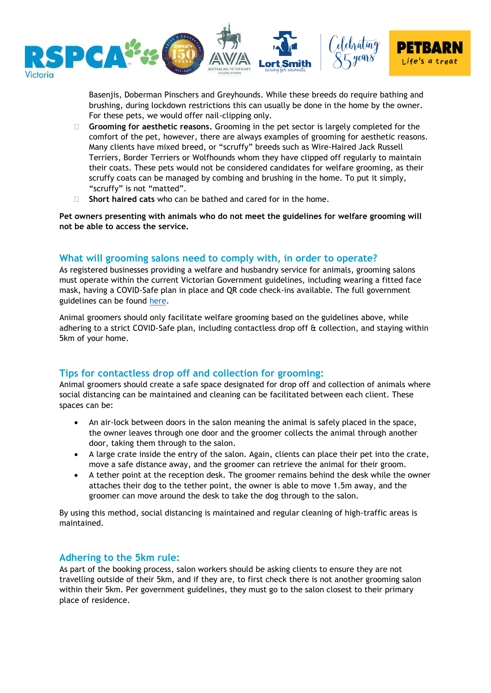

Basenjis, Doberman Pinschers and Greyhounds. While these breeds do require bathing and brushing, during lockdown restrictions this can usually be done in the home by the owner. For these pets, we would offer nail-clipping only.

- **Grooming for aesthetic reasons.** Grooming in the pet sector is largely completed for the comfort of the pet, however, there are always examples of grooming for aesthetic reasons. Many clients have mixed breed, or "scruffy" breeds such as Wire-Haired Jack Russell Terriers, Border Terriers or Wolfhounds whom they have clipped off regularly to maintain their coats. These pets would not be considered candidates for welfare grooming, as their scruffy coats can be managed by combing and brushing in the home. To put it simply, "scruffy" is not "matted".
- **Short haired cats** who can be bathed and cared for in the home.

**Pet owners presenting with animals who do not meet the guidelines for welfare grooming will not be able to access the service.** 

## **What will grooming salons need to comply with, in order to operate?**

As registered businesses providing a welfare and husbandry service for animals, grooming salons must operate within the current Victorian Government guidelines, including wearing a fitted face mask, having a COVID-Safe plan in place and QR code check-ins available. The full government guidelines can be found [here.](https://business.vic.gov.au/business-information/covid-19-business-information)

Animal groomers should only facilitate welfare grooming based on the guidelines above, while adhering to a strict COVID-Safe plan, including contactless drop off & collection, and staying within 5km of your home.

# **Tips for contactless drop off and collection for grooming:**

Animal groomers should create a safe space designated for drop off and collection of animals where social distancing can be maintained and cleaning can be facilitated between each client. These spaces can be:

- An air-lock between doors in the salon meaning the animal is safely placed in the space, the owner leaves through one door and the groomer collects the animal through another door, taking them through to the salon.
- A large crate inside the entry of the salon. Again, clients can place their pet into the crate, move a safe distance away, and the groomer can retrieve the animal for their groom.
- A tether point at the reception desk. The groomer remains behind the desk while the owner attaches their dog to the tether point, the owner is able to move 1.5m away, and the groomer can move around the desk to take the dog through to the salon.

By using this method, social distancing is maintained and regular cleaning of high-traffic areas is maintained.

#### **Adhering to the 5km rule:**

As part of the booking process, salon workers should be asking clients to ensure they are not travelling outside of their 5km, and if they are, to first check there is not another grooming salon within their 5km. Per government guidelines, they must go to the salon closest to their primary place of residence.